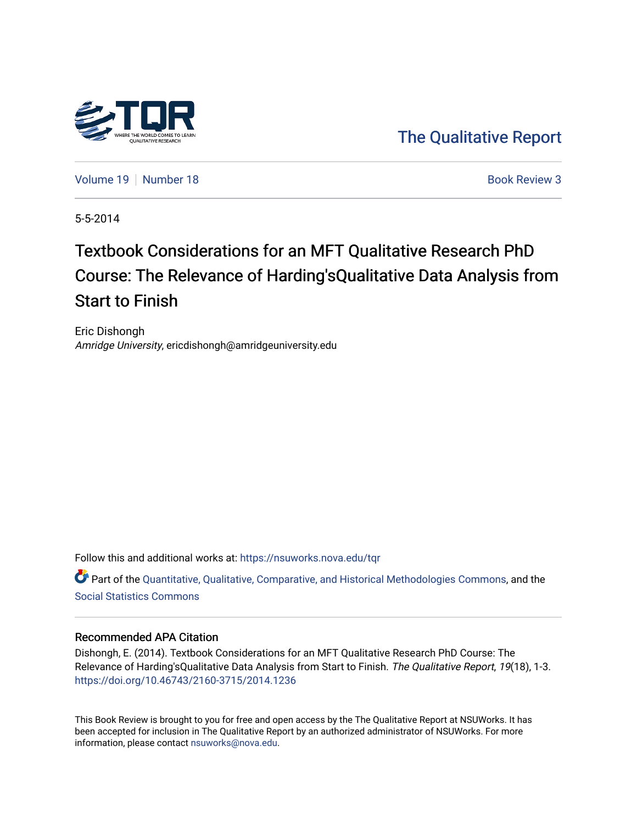

[The Qualitative Report](https://nsuworks.nova.edu/tqr) 

[Volume 19](https://nsuworks.nova.edu/tqr/vol19) [Number 18](https://nsuworks.nova.edu/tqr/vol19/iss18) **Book Review 3** Book Review 3

5-5-2014

# Textbook Considerations for an MFT Qualitative Research PhD Course: The Relevance of Harding'sQualitative Data Analysis from Start to Finish

Eric Dishongh Amridge University, ericdishongh@amridgeuniversity.edu

Follow this and additional works at: [https://nsuworks.nova.edu/tqr](https://nsuworks.nova.edu/tqr?utm_source=nsuworks.nova.edu%2Ftqr%2Fvol19%2Fiss18%2F3&utm_medium=PDF&utm_campaign=PDFCoverPages) 

Part of the [Quantitative, Qualitative, Comparative, and Historical Methodologies Commons,](http://network.bepress.com/hgg/discipline/423?utm_source=nsuworks.nova.edu%2Ftqr%2Fvol19%2Fiss18%2F3&utm_medium=PDF&utm_campaign=PDFCoverPages) and the [Social Statistics Commons](http://network.bepress.com/hgg/discipline/1275?utm_source=nsuworks.nova.edu%2Ftqr%2Fvol19%2Fiss18%2F3&utm_medium=PDF&utm_campaign=PDFCoverPages) 

#### Recommended APA Citation

Dishongh, E. (2014). Textbook Considerations for an MFT Qualitative Research PhD Course: The Relevance of Harding'sQualitative Data Analysis from Start to Finish. The Qualitative Report, 19(18), 1-3. <https://doi.org/10.46743/2160-3715/2014.1236>

This Book Review is brought to you for free and open access by the The Qualitative Report at NSUWorks. It has been accepted for inclusion in The Qualitative Report by an authorized administrator of NSUWorks. For more information, please contact [nsuworks@nova.edu.](mailto:nsuworks@nova.edu)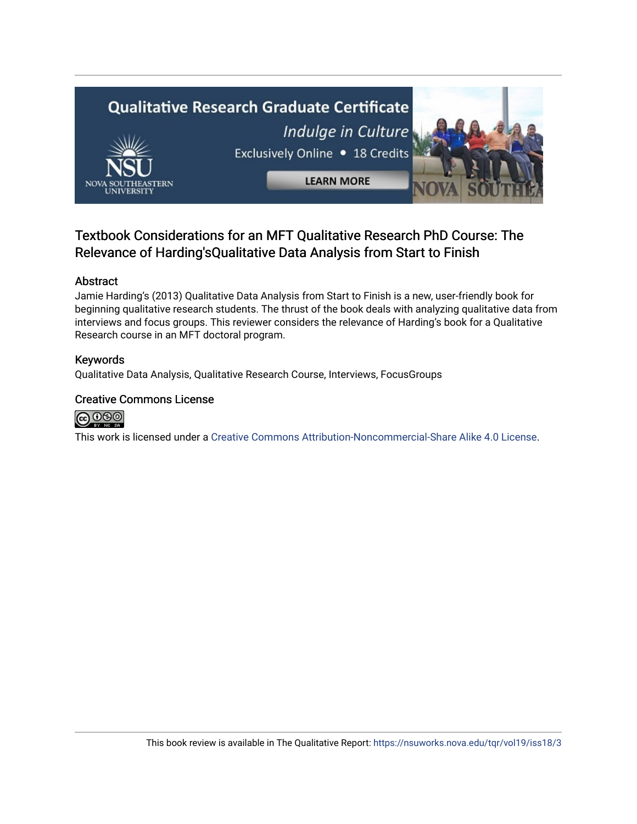

### Textbook Considerations for an MFT Qualitative Research PhD Course: The Relevance of Harding'sQualitative Data Analysis from Start to Finish

#### Abstract

Jamie Harding's (2013) Qualitative Data Analysis from Start to Finish is a new, user-friendly book for beginning qualitative research students. The thrust of the book deals with analyzing qualitative data from interviews and focus groups. This reviewer considers the relevance of Harding's book for a Qualitative Research course in an MFT doctoral program.

#### Keywords

Qualitative Data Analysis, Qualitative Research Course, Interviews, FocusGroups

#### Creative Commons License



This work is licensed under a [Creative Commons Attribution-Noncommercial-Share Alike 4.0 License](https://creativecommons.org/licenses/by-nc-sa/4.0/).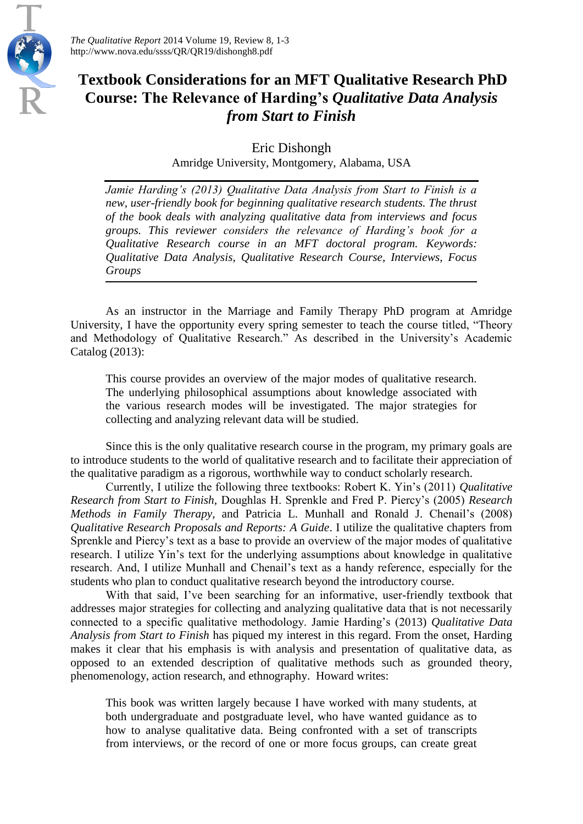

## **Textbook Considerations for an MFT Qualitative Research PhD Course: The Relevance of Harding's** *Qualitative Data Analysis from Start to Finish*

Eric Dishongh

Amridge University, Montgomery, Alabama, USA

*Jamie Harding's (2013) Qualitative Data Analysis from Start to Finish is a new, user-friendly book for beginning qualitative research students. The thrust of the book deals with analyzing qualitative data from interviews and focus groups. This reviewer considers the relevance of Harding's book for a Qualitative Research course in an MFT doctoral program. Keywords: Qualitative Data Analysis, Qualitative Research Course, Interviews, Focus Groups*

As an instructor in the Marriage and Family Therapy PhD program at Amridge University, I have the opportunity every spring semester to teach the course titled, "Theory and Methodology of Qualitative Research." As described in the University's Academic Catalog (2013):

This course provides an overview of the major modes of qualitative research. The underlying philosophical assumptions about knowledge associated with the various research modes will be investigated. The major strategies for collecting and analyzing relevant data will be studied.

Since this is the only qualitative research course in the program, my primary goals are to introduce students to the world of qualitative research and to facilitate their appreciation of the qualitative paradigm as a rigorous, worthwhile way to conduct scholarly research.

Currently, I utilize the following three textbooks: Robert K. Yin's (2011) *Qualitative Research from Start to Finish,* Doughlas H. Sprenkle and Fred P. Piercy's (2005) *Research Methods in Family Therapy*, and Patricia L. Munhall and Ronald J. Chenail's (2008) *Qualitative Research Proposals and Reports: A Guide*. I utilize the qualitative chapters from Sprenkle and Piercy's text as a base to provide an overview of the major modes of qualitative research. I utilize Yin's text for the underlying assumptions about knowledge in qualitative research. And, I utilize Munhall and Chenail's text as a handy reference, especially for the students who plan to conduct qualitative research beyond the introductory course.

With that said, I've been searching for an informative, user-friendly textbook that addresses major strategies for collecting and analyzing qualitative data that is not necessarily connected to a specific qualitative methodology. Jamie Harding's (2013) *Qualitative Data Analysis from Start to Finish* has piqued my interest in this regard. From the onset, Harding makes it clear that his emphasis is with analysis and presentation of qualitative data, as opposed to an extended description of qualitative methods such as grounded theory, phenomenology, action research, and ethnography. Howard writes:

This book was written largely because I have worked with many students, at both undergraduate and postgraduate level, who have wanted guidance as to how to analyse qualitative data. Being confronted with a set of transcripts from interviews, or the record of one or more focus groups, can create great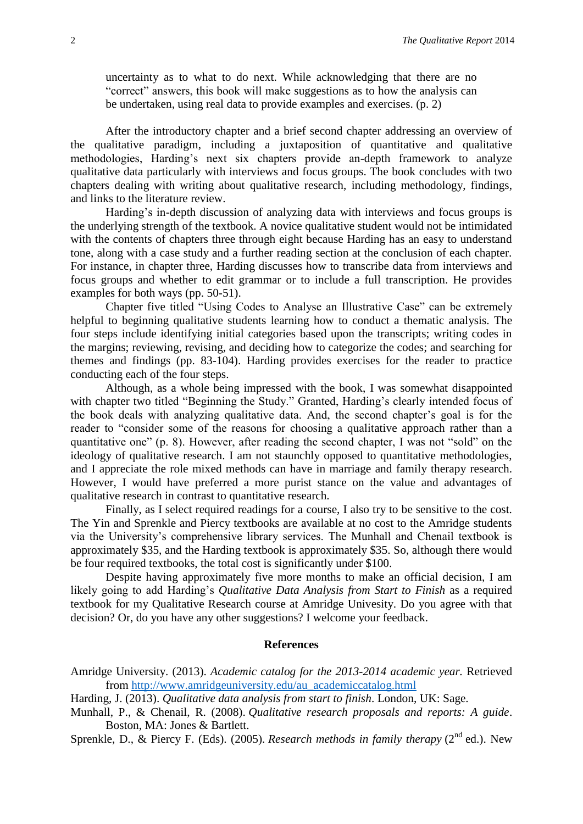uncertainty as to what to do next. While acknowledging that there are no "correct" answers, this book will make suggestions as to how the analysis can be undertaken, using real data to provide examples and exercises. (p. 2)

After the introductory chapter and a brief second chapter addressing an overview of the qualitative paradigm, including a juxtaposition of quantitative and qualitative methodologies, Harding's next six chapters provide an-depth framework to analyze qualitative data particularly with interviews and focus groups. The book concludes with two chapters dealing with writing about qualitative research, including methodology, findings, and links to the literature review.

Harding's in-depth discussion of analyzing data with interviews and focus groups is the underlying strength of the textbook. A novice qualitative student would not be intimidated with the contents of chapters three through eight because Harding has an easy to understand tone, along with a case study and a further reading section at the conclusion of each chapter. For instance, in chapter three, Harding discusses how to transcribe data from interviews and focus groups and whether to edit grammar or to include a full transcription. He provides examples for both ways (pp. 50-51).

Chapter five titled "Using Codes to Analyse an Illustrative Case" can be extremely helpful to beginning qualitative students learning how to conduct a thematic analysis. The four steps include identifying initial categories based upon the transcripts; writing codes in the margins; reviewing, revising, and deciding how to categorize the codes; and searching for themes and findings (pp. 83-104). Harding provides exercises for the reader to practice conducting each of the four steps.

Although, as a whole being impressed with the book, I was somewhat disappointed with chapter two titled "Beginning the Study." Granted, Harding's clearly intended focus of the book deals with analyzing qualitative data. And, the second chapter's goal is for the reader to "consider some of the reasons for choosing a qualitative approach rather than a quantitative one" (p. 8). However, after reading the second chapter, I was not "sold" on the ideology of qualitative research. I am not staunchly opposed to quantitative methodologies, and I appreciate the role mixed methods can have in marriage and family therapy research. However, I would have preferred a more purist stance on the value and advantages of qualitative research in contrast to quantitative research.

Finally, as I select required readings for a course, I also try to be sensitive to the cost. The Yin and Sprenkle and Piercy textbooks are available at no cost to the Amridge students via the University's comprehensive library services. The Munhall and Chenail textbook is approximately \$35, and the Harding textbook is approximately \$35. So, although there would be four required textbooks, the total cost is significantly under \$100.

Despite having approximately five more months to make an official decision, I am likely going to add Harding's *Qualitative Data Analysis from Start to Finish* as a required textbook for my Qualitative Research course at Amridge Univesity. Do you agree with that decision? Or, do you have any other suggestions? I welcome your feedback.

#### **References**

- Amridge University. (2013). *Academic catalog for the 2013-2014 academic year.* Retrieved from [http://www.amridgeuniversity.edu/au\\_academiccatalog.html](http://www.amridgeuniversity.edu/au_academiccatalog.html)
- Harding, J. (2013). *Qualitative data analysis from start to finish*. London, UK: Sage.
- Munhall, P., & Chenail, R. (2008). *Qualitative research proposals and reports: A guide*. Boston, MA: Jones & Bartlett.

Sprenkle, D., & Piercy F. (Eds). (2005). *Research methods in family therapy* (2<sup>nd</sup> ed.). New